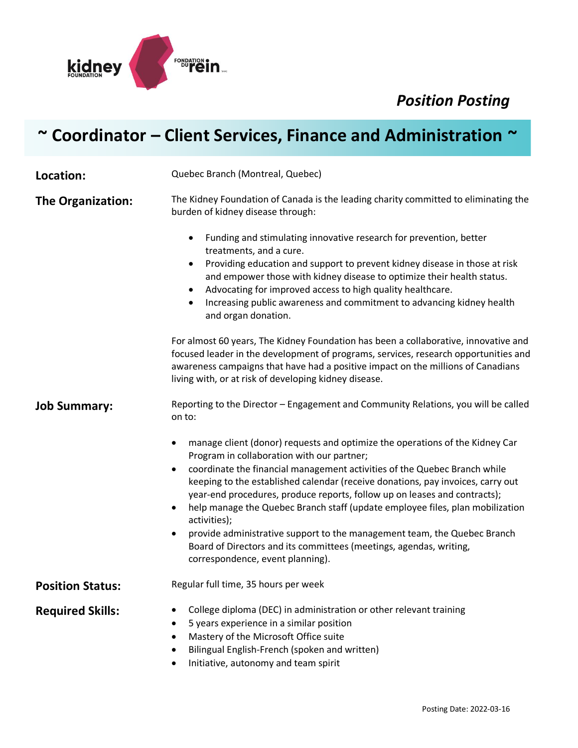*Position Posting*



## **~ Coordinator – Client Services, Finance and Administration ~**

**Location:** Quebec Branch (Montreal, Quebec) **The Organization:** The Kidney Foundation of Canada is the leading charity committed to eliminating the burden of kidney disease through: • Funding and stimulating innovative research for prevention, better treatments, and a cure. • Providing education and support to prevent kidney disease in those at risk and empower those with kidney disease to optimize their health status. • Advocating for improved access to high quality healthcare. • Increasing public awareness and commitment to advancing kidney health and organ donation. For almost 60 years, The Kidney Foundation has been a collaborative, innovative and focused leader in the development of programs, services, research opportunities and awareness campaigns that have had a positive impact on the millions of Canadians living with, or at risk of developing kidney disease. **Job Summary:** Reporting to the Director – Engagement and Community Relations, you will be called on to: • manage client (donor) requests and optimize the operations of the Kidney Car Program in collaboration with our partner; • coordinate the financial management activities of the Quebec Branch while keeping to the established calendar (receive donations, pay invoices, carry out year-end procedures, produce reports, follow up on leases and contracts); • help manage the Quebec Branch staff (update employee files, plan mobilization activities); • provide administrative support to the management team, the Quebec Branch Board of Directors and its committees (meetings, agendas, writing, correspondence, event planning). **Position Status:** Regular full time, 35 hours per week **Required Skills:** • College diploma (DEC) in administration or other relevant training • 5 years experience in a similar position • Mastery of the Microsoft Office suite • Bilingual English-French (spoken and written) • Initiative, autonomy and team spirit